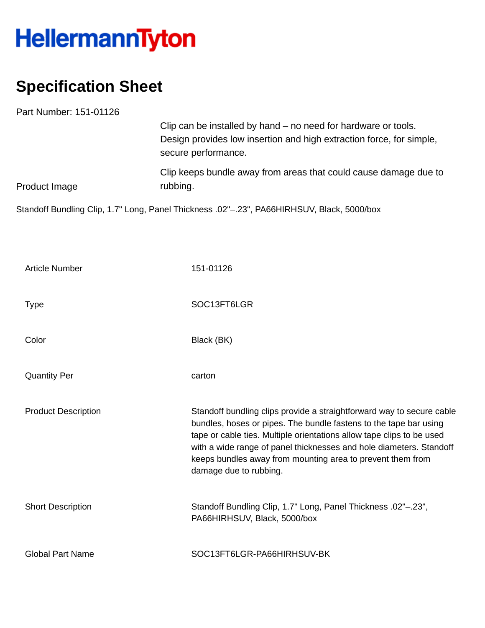## HellermannTyton

## **Specification Sheet**

|             | Part Number: 151-01126     |                                                                                                                                                                                                                                                                                                                                                                                    |
|-------------|----------------------------|------------------------------------------------------------------------------------------------------------------------------------------------------------------------------------------------------------------------------------------------------------------------------------------------------------------------------------------------------------------------------------|
|             |                            | Clip can be installed by hand – no need for hardware or tools.<br>Design provides low insertion and high extraction force, for simple,<br>secure performance.                                                                                                                                                                                                                      |
|             | <b>Product Image</b>       | Clip keeps bundle away from areas that could cause damage due to<br>rubbing.                                                                                                                                                                                                                                                                                                       |
|             |                            | Standoff Bundling Clip, 1.7" Long, Panel Thickness .02"-.23", PA66HIRHSUV, Black, 5000/box                                                                                                                                                                                                                                                                                         |
|             |                            |                                                                                                                                                                                                                                                                                                                                                                                    |
|             | <b>Article Number</b>      | 151-01126                                                                                                                                                                                                                                                                                                                                                                          |
| <b>Type</b> |                            | SOC13FT6LGR                                                                                                                                                                                                                                                                                                                                                                        |
| Color       |                            | Black (BK)                                                                                                                                                                                                                                                                                                                                                                         |
|             | <b>Quantity Per</b>        | carton                                                                                                                                                                                                                                                                                                                                                                             |
|             | <b>Product Description</b> | Standoff bundling clips provide a straightforward way to secure cable<br>bundles, hoses or pipes. The bundle fastens to the tape bar using<br>tape or cable ties. Multiple orientations allow tape clips to be used<br>with a wide range of panel thicknesses and hole diameters. Standoff<br>keeps bundles away from mounting area to prevent them from<br>damage due to rubbing. |
|             | <b>Short Description</b>   | Standoff Bundling Clip, 1.7" Long, Panel Thickness .02"-.23",<br>PA66HIRHSUV, Black, 5000/box                                                                                                                                                                                                                                                                                      |
|             | <b>Global Part Name</b>    | SOC13FT6LGR-PA66HIRHSUV-BK                                                                                                                                                                                                                                                                                                                                                         |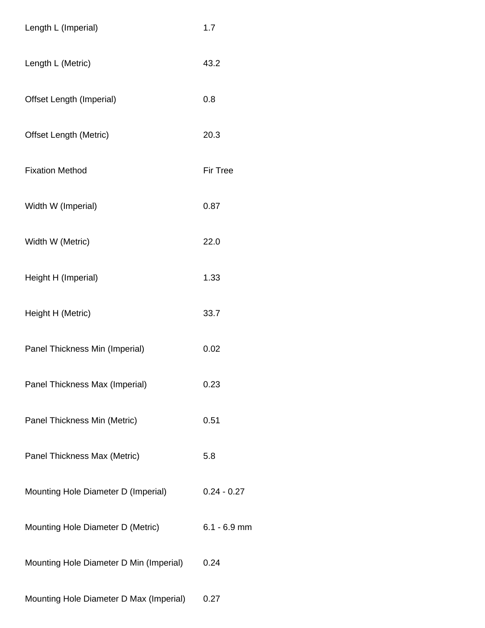| Length L (Imperial)                     | 1.7             |
|-----------------------------------------|-----------------|
| Length L (Metric)                       | 43.2            |
| Offset Length (Imperial)                | 0.8             |
| <b>Offset Length (Metric)</b>           | 20.3            |
| <b>Fixation Method</b>                  | <b>Fir Tree</b> |
| Width W (Imperial)                      | 0.87            |
| Width W (Metric)                        | 22.0            |
| Height H (Imperial)                     | 1.33            |
| Height H (Metric)                       | 33.7            |
| Panel Thickness Min (Imperial)          | 0.02            |
| Panel Thickness Max (Imperial)          | 0.23            |
| Panel Thickness Min (Metric)            | 0.51            |
| Panel Thickness Max (Metric)            | 5.8             |
| Mounting Hole Diameter D (Imperial)     | $0.24 - 0.27$   |
| Mounting Hole Diameter D (Metric)       | $6.1 - 6.9$ mm  |
| Mounting Hole Diameter D Min (Imperial) | 0.24            |
| Mounting Hole Diameter D Max (Imperial) | 0.27            |